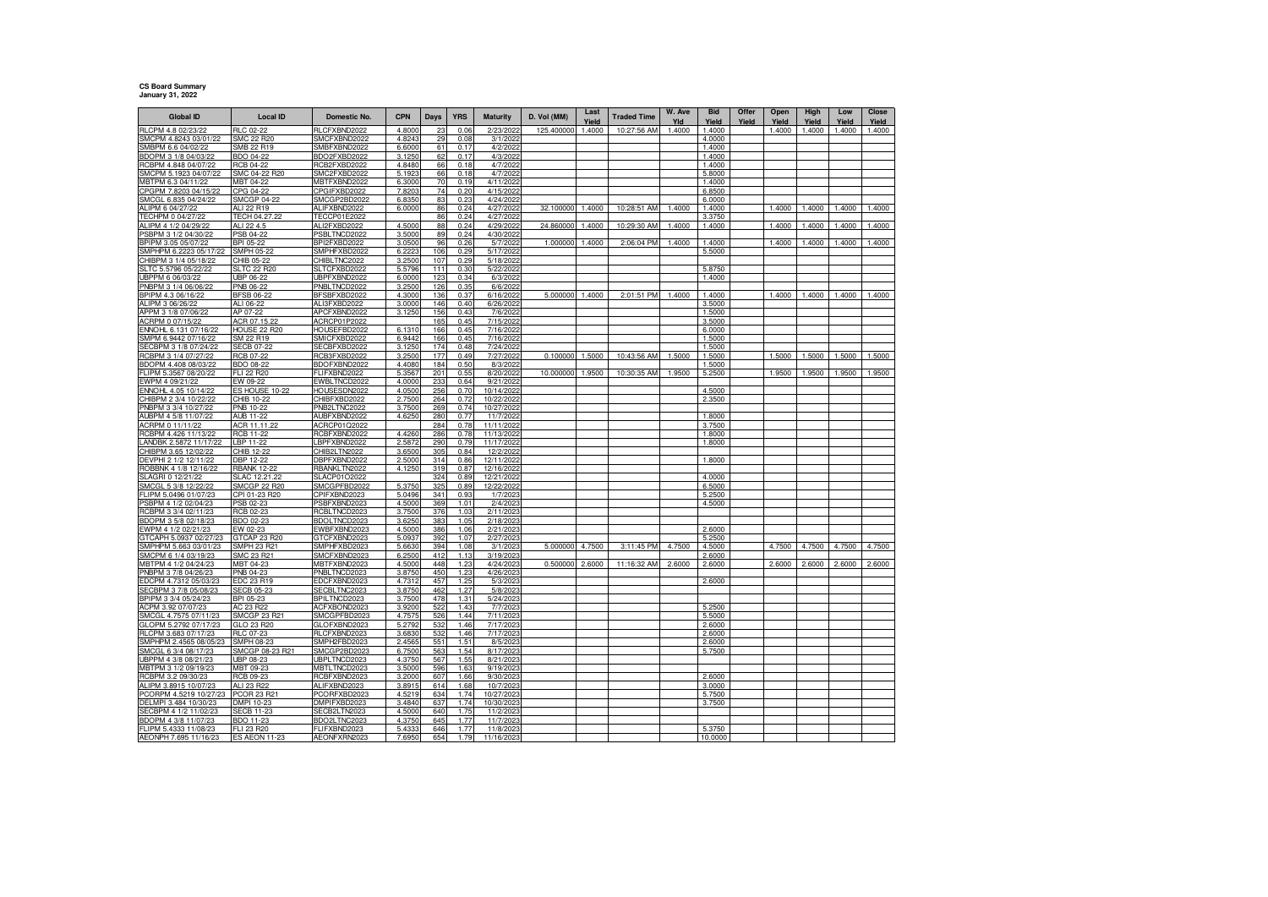## **CS Board Summary January 31, 2022**

| <b>Global ID</b>                                | <b>Local ID</b>                       | Domestic No.                 | <b>CPN</b>       | Days       | <b>YRS</b>   | Maturity                 | D. Vol (MM) | Last<br>Yield | <b>Traded Time</b> | W. Ave<br>Yld | <b>Bid</b><br>Yield | Offer<br>Yield | Open<br>Yield | High<br>Yield | Low<br>Yield | <b>Close</b><br>Yield |
|-------------------------------------------------|---------------------------------------|------------------------------|------------------|------------|--------------|--------------------------|-------------|---------------|--------------------|---------------|---------------------|----------------|---------------|---------------|--------------|-----------------------|
| RLCPM 4.8 02/23/22                              | <b>RLC 02-22</b>                      | RLCFXBND2022                 | 4.8000           | 23         | 0.06         | 2/23/2022                | 125.400000  | 1.4000        | 10:27:56 AM        | 1.4000        | 1.4000              |                | 1.4000        | 1.4000        | 1.4000       | 1.4000                |
| SMCPM 4.8243 03/01/22                           | <b>SMC 22 R20</b>                     | SMCFXBND2022                 | 4.824            | 29         | 0.08         | 3/1/2022                 |             |               |                    |               | 4.0000              |                |               |               |              |                       |
| SMBPM 6.6 04/02/22                              | SMB 22 R19                            | SMBFXBND2022                 | 6.6000           | 61         | 0.17         | 4/2/2022                 |             |               |                    |               | 1.4000              |                |               |               |              |                       |
| BDOPM 3 1/8 04/03/22<br>RCBPM 4.848 04/07/22    | BDO 04-22<br><b>RCB 04-22</b>         | BDO2FXBD2022<br>RCB2FXBD2022 | 3.1250<br>4.8480 | 62<br>66   | 0.17<br>0.18 | 4/3/2022<br>4/7/2022     |             |               |                    |               | 1.4000<br>1.4000    |                |               |               |              |                       |
| SMCPM 5.1923 04/07/22                           | SMC 04-22 R20                         | SMC2FXBD2022                 | 5.192            | 66         | 0.18         | 4/7/2022                 |             |               |                    |               | 5,8000              |                |               |               |              |                       |
| ABTPM 6.3 04/11/22                              | MBT 04-22                             | MBTFXBND2022                 | 6.300            | 70         | 0.19         | 4/11/2022                |             |               |                    |               | 1.4000              |                |               |               |              |                       |
| CPGPM 7.8203 04/15/22                           | CPG 04-22                             | CPGIFXBD2022                 | 7.820            | 74         | 0.20         | 4/15/2022                |             |               |                    |               | 6.8500              |                |               |               |              |                       |
| SMCGL 6.835 04/24/22                            | SMCGP 04-22                           | SMCGP2BD2022                 | 6.835            | 83         | 0.23         | 4/24/2022                |             |               |                    |               | 6.0000              |                |               |               |              |                       |
| ALIPM 6 04/27/22                                | ALL 22 R19                            | ALIFXBND2022                 | 6.0000           | 86         | 0.24         | 4/27/2022                | 32.100000   | 1.4000        | 10:28:51 AM        | 1.4000        | 1.4000              |                | 1.4000        | 1.4000        | 1.4000       | 1.4000                |
| TECHPM 0 04/27/22                               | TECH 04.27.22                         | TECCP01E2022                 |                  | 86         | 0.24         | 4/27/2022                |             |               |                    |               | 3.3750              |                |               |               |              |                       |
| ALIPM 4 1/2 04/29/22<br>SBPM 3 1/2 04/30/22     | ALI 22 4.5<br>PSB 04-22               | ALI2FXBD2022<br>PSBLTNCD2022 | 4.500<br>3.5000  | 88<br>89   | 0.24<br>0.24 | 4/29/2022<br>4/30/2022   | 24.860000   | 1.4000        | 10:29:30 AM        | 1.4000        | 1.4000              |                | 1.4000        | 1.4000        | 1.4000       | 1.4000                |
| BPIPM 3.05 05/07/22                             | BPI 05-22                             | BPI2FXBD2022                 | 3.0500           | 96         | 0.26         | 5/7/2022                 | 1.000000    | 1.4000        | 2:06:04 PM         | 1.4000        | 1.4000              |                | 1.4000        | 1.4000        | 1.4000       | 1.4000                |
| MPHPM 6.2223 05/17/22                           | SMPH 05-22                            | SMPHFXBD2022                 | 6.2223           | 106        | 0.29         | 5/17/2022                |             |               |                    |               | 5.5000              |                |               |               |              |                       |
| HIBPM 3 1/4 05/18/22                            | CHIB 05-22                            | CHIBLTNC2022                 | 3.2500           | 107        | 0.29         | 5/18/2022                |             |               |                    |               |                     |                |               |               |              |                       |
| LTC 5.5796 05/22/22                             | <b>SLTC 22 R20</b>                    | SLTCFXBD2022                 | 5.5796           | 111        | 0.30         | 5/22/2022                |             |               |                    |               | 5.8750              |                |               |               |              |                       |
| IBPPM 6 06/03/22                                | JBP 06-22                             | JBPFXBND2022                 | 6.0000           | 123        | 0.34         | 6/3/2022                 |             |               |                    |               | 1.4000              |                |               |               |              |                       |
| NBPM 3 1/4 06/06/22<br>BPIPM 4.3 06/16/22       | PNB 06-22<br><b>BFSB 06-22</b>        | PNBLTNCD2022<br>BFSBFXBD2022 | 3.2500<br>4.3000 | 126<br>136 | 0.35<br>0.37 | 6/6/2022<br>6/16/2022    | 5.000000    | 1.4000        | 2:01:51 PM         | 1.4000        | 1.4000              |                | 1.4000        | 1.4000        | 1.4000       | 1.4000                |
| ALIPM 3 06/26/22                                | ALI 06-22                             | ALI3FXBD2022                 | 3.0000           | 146        | 0.40         | 6/26/2022                |             |               |                    |               | 3.5000              |                |               |               |              |                       |
| APPM 3 1/8 07/06/22                             | AP 07-22                              | APCFXBND2022                 | 3.1250           | 156        | 0.43         | 7/6/2022                 |             |               |                    |               | 1.5000              |                |               |               |              |                       |
| ACRPM 0 07/15/22                                | ACR 07.15.22                          | ACRCP01P2022                 |                  | 165        | 0.45         | 7/15/2022                |             |               |                    |               | 3.5000              |                |               |               |              |                       |
| ENNOHL 6.131 07/16/22                           | <b>HOUSE 22 R20</b>                   | HOUSEFBD2022                 | 6.1310           | 166        | 0.45         | 7/16/2022                |             |               |                    |               | 6.0000              |                |               |               |              |                       |
| SMPM 6.9442 07/16/22                            | SM 22 R19                             | SMICFXBD2022                 | 6.9442           | 166        | 0.45         | 7/16/2022                |             |               |                    |               | 1.5000              |                |               |               |              |                       |
| ECBPM 3 1/8 07/24/22<br>RCBPM 3 1/4 07/27/22    | <b>SECB 07-22</b><br><b>RCB 07-22</b> | SECBFXBD2022<br>RCB3FXBD2022 | 3.1250<br>3.2500 | 174<br>177 | 0.48<br>0.49 | 7/24/2022<br>7/27/2022   | 0.100000    | 1.5000        | 10:43:56 AM        | 1.5000        | 1.5000<br>1.5000    |                | 1.5000        | 1.5000        | 1.5000       | 1.5000                |
| BDOPM 4.408 08/03/22                            | BDO 08-22                             | BDOFXBND2022                 | 4.4080           | 184        | 0.50         | 8/3/2022                 |             |               |                    |               | 1.5000              |                |               |               |              |                       |
| FLIPM 5.3567 08/20/22                           | FLI 22 R20                            | FLIFXBND2022                 | 5.3567           | 201        | 0.55         | 8/20/2022                | 10.000000   | 1.9500        | 10:30:35 AM        | 1.9500        | 5.2500              |                | 1.9500        | 1.9500        | 1.9500       | 1.9500                |
| EWPM 4 09/21/22                                 | EW 09-22                              | EWBLTNCD2022                 | 4.0000           | 233        | 0.64         | 9/21/2022                |             |               |                    |               |                     |                |               |               |              |                       |
| NNOHL 4.05 10/14/22                             | ES HOUSE 10-22                        | HOUSESDN2022                 | 4.050            | 256        | 0.70         | 10/14/2022               |             |               |                    |               | 4.5000              |                |               |               |              |                       |
| CHIBPM 2 3/4 10/22/22                           | CHIB 10-22                            | CHIBFXBD2022                 | 2.7500           | 264        | 0.72         | 10/22/2022               |             |               |                    |               | 2.3500              |                |               |               |              |                       |
| PNBPM 3 3/4 10/27/22                            | PNB 10-22                             | PNB2LTNC2022                 | 3.7500           | <b>269</b> | 0.74         | 10/27/2022               |             |               |                    |               |                     |                |               |               |              |                       |
| AUBPM 4 5/8 11/07/22<br>ACRPM 0 11/11/22        | <b>AUB 11-22</b><br>ACR 11.11.22      | AUBFXBND2022<br>ACRCP01Q2022 | 4.6250           | 280<br>284 | 0.77<br>0.78 | 11/7/2022<br>11/11/2022  |             |               |                    |               | 1.8000<br>3.7500    |                |               |               |              |                       |
| RCBPM 4.426 11/13/22                            | <b>RCB 11-22</b>                      | RCBFXBND2022                 | 4.4260           | 286        | 0.78         | 11/13/2022               |             |               |                    |               | 1.8000              |                |               |               |              |                       |
| LANDBK 2.5872 11/17/22                          | LBP 11-22                             | LBPFXBND2022                 | 2.587            | 290        | 0.79         | 11/17/2022               |             |               |                    |               | 1.8000              |                |               |               |              |                       |
| CHIBPM 3.65 12/02/22                            | CHIB 12-22                            | CHIB2LTN2022                 | 3.6500           | 305        | 0.84         | 12/2/2022                |             |               |                    |               |                     |                |               |               |              |                       |
| DEVPHI 2 1/2 12/11/22                           | DBP 12-22                             | DBPFXBND2022                 | 2.5000           | 314        | 0.86         | 12/11/2022               |             |               |                    |               | 1.8000              |                |               |               |              |                       |
| ROBBNK 4 1/8 12/16/22                           | <b>RBANK 12-22</b>                    | RBANKLTN2022                 | 4.1250           | 319        | 0.87         | 12/16/2022               |             |               |                    |               |                     |                |               |               |              |                       |
| SLAGRI 0 12/21/22<br>SMCGL 5 3/8 12/22/22       | SLAC 12.21.22<br>SMCGP 22 R20         | SLACP01O2022<br>SMCGPFBD2022 | 5.3750           | 324<br>325 | 0.89<br>0.89 | 12/21/2022<br>12/22/2022 |             |               |                    |               | 4.0000<br>6.5000    |                |               |               |              |                       |
| FLIPM 5.0496 01/07/23                           | CPI 01-23 R20                         | CPIFXBND2023                 | 5.0496           | 341        | 0.93         | 1/7/2023                 |             |               |                    |               | 5.2500              |                |               |               |              |                       |
| SBPM 4 1/2 02/04/23                             | PSB 02-23                             | PSBFXBND2023                 | 4.5000           | 369        | 1.01         | 2/4/2023                 |             |               |                    |               | 4.5000              |                |               |               |              |                       |
| RCBPM 3 3/4 02/11/23                            | RCB 02-23                             | RCBLTNCD2023                 | 3.7500           | 376        | 1.03         | 2/11/2023                |             |               |                    |               |                     |                |               |               |              |                       |
| BDOPM 3 5/8 02/18/23                            | BDO 02-23                             | BDOLTNCD2023                 | 3.6250           | 383        | 1.05         | 2/18/2023                |             |               |                    |               |                     |                |               |               |              |                       |
| WPM 4 1/2 02/21/23                              | EW 02-23                              | EWBFXBND2023                 | 4.5000           | 386        | 1.06         | 2/21/2023                |             |               |                    |               | 2.6000              |                |               |               |              |                       |
| GTCAPH 5.0937 02/27/23<br>SMPHPM 5.663 03/01/23 | GTCAP 23 R20<br><b>SMPH 23 R21</b>    | GTCFXBND2023<br>SMPHFXBD2023 | 5.0937<br>5.6630 | 392<br>394 | 1.07<br>1.08 | 2/27/2023<br>3/1/2023    | 5.000000    | 4.7500        | 3:11:45 PM         | 4.7500        | 5.2500<br>4.5000    |                | 4.7500        | 4.7500        | 4.7500       | 4.7500                |
| MCPM 6 1/4 03/19/23                             | SMC 23 R21                            | SMCFXBND2023                 | 6.250            | 412        | 1.13         | 3/19/202                 |             |               |                    |               | 2.6000              |                |               |               |              |                       |
| IBTPM 4 1/2 04/24/23                            | MBT 04-23                             | MBTFXBND2023                 | 4.5000           | 448        | 1.23         | 4/24/2023                | 0.500000    | 2,6000        | 11:16:32 AM        | 2.6000        | 2.6000              |                | 2.6000        | 2.6000        | 2.6000       | 2.6000                |
| NBPM 3 7/8 04/26/23                             | <b>PNB 04-23</b>                      | PNBLTNCD2023                 | 3.8750           | 450        | 1.23         | 4/26/2023                |             |               |                    |               |                     |                |               |               |              |                       |
| DCPM 4.7312 05/03/23                            | EDC 23 R19                            | EDCFXBND2023                 | 4.731            | 457        | 1.25         | 5/3/2023                 |             |               |                    |               | 2.6000              |                |               |               |              |                       |
| ECBPM 3 7/8 05/08/23                            | <b>SECB 05-23</b>                     | SECBLTNC2023                 | 3.8750           | 462        | 1.27         | 5/8/2023                 |             |               |                    |               |                     |                |               |               |              |                       |
| BPIPM 3 3/4 05/24/23                            | BPI 05-23                             | BPILTNCD2023                 | 3.7500           | 478<br>522 | 1.31         | 5/24/2023                |             |               |                    |               |                     |                |               |               |              |                       |
| ACPM 3.92 07/07/23<br>SMCGL 4.7575 07/11/23     | AC 23 R22<br><b>SMCGP 23 R21</b>      | ACFXBOND2023<br>SMCGPFBD2023 | 3.9200<br>4.7575 | 526        | 1.43<br>1.44 | 7/7/2023<br>7/11/202     |             |               |                    |               | 5.2500<br>5.5000    |                |               |               |              |                       |
| GLOPM 5.2792 07/17/23                           | GLO 23 R20                            | GLOFXBND2023                 | 5.2792           | 532        | 1.46         | 7/17/2023                |             |               |                    |               | 2.6000              |                |               |               |              |                       |
| RLCPM 3.683 07/17/23                            | <b>RLC 07-23</b>                      | RLCFXBND2023                 | 3.6830           | 532        | 1.46         | 7/17/2023                |             |               |                    |               | 2.6000              |                |               |               |              |                       |
| SMPHPM 2.4565 08/05/23                          | SMPH 08-23                            | SMPH2FBD2023                 | 2.4565           | 551        | 1.51         | 8/5/2023                 |             |               |                    |               | 2.6000              |                |               |               |              |                       |
| SMCGL 6 3/4 08/17/23                            | SMCGP 08-23 R21                       | SMCGP2BD2023                 | 6.7500           | 563        | 1.54         | 8/17/2023                |             |               |                    |               | 5.7500              |                |               |               |              |                       |
| JBPPM 4 3/8 08/21/23                            | UBP 08-23                             | JBPLTNCD2023                 | 4.3750           | 567        | 1.55         | 8/21/2023                |             |               |                    |               |                     |                |               |               |              |                       |
| MBTPM 3 1/2 09/19/23                            | MBT 09-23                             | MBTLTNCD2023                 | 3.5000           | 596        | 1.63         | 9/19/2023                |             |               |                    |               |                     |                |               |               |              |                       |
| RCBPM 3.2 09/30/23<br>ALIPM 3.8915 10/07/23     | RCB 09-23<br>ALI 23 R22               | RCBFXBND2023<br>ALIFXBND2023 | 3.2000<br>3.8915 | 607<br>614 | 1.66<br>1.68 | 9/30/2023<br>10/7/2023   |             |               |                    |               | 2.6000<br>3.0000    |                |               |               |              |                       |
| PCORPM 4.5219 10/27/23                          | PCOR 23 R21                           | PCORFXBD2023                 | 4.5219           | 634        | 1.74         | 10/27/2023               |             |               |                    |               | 5.7500              |                |               |               |              |                       |
| DELMPI 3.484 10/30/23                           | DMPI 10-23                            | DMPIFXBD2023                 | 3.4840           | 637        | 1.74         | 10/30/2023               |             |               |                    |               | 3.7500              |                |               |               |              |                       |
| SECBPM 4 1/2 11/02/23                           | <b>SECB 11-23</b>                     | SECB2LTN2023                 | 4.5000           | 640        | 1.75         | 11/2/2023                |             |               |                    |               |                     |                |               |               |              |                       |
| BDOPM 4 3/8 11/07/23                            | BDO 11-23                             | BDO2LTNC2023                 | 4.3750           | 645        | 1.77         | 11/7/2023                |             |               |                    |               |                     |                |               |               |              |                       |
| FLIPM 5.4333 11/08/23                           | FLI 23 R20                            | FLIFXBND2023                 | 5.4333           | 646        | 1.77         | 11/8/2023                |             |               |                    |               | 5.3750              |                |               |               |              |                       |
| AEONPH 7.695 11/16/23                           | <b>ES AEON 11-23</b>                  | AEONFXRN2023                 | 7.6950           | 654        | 1.79         | 11/16/2023               |             |               |                    |               | 10.0000             |                |               |               |              |                       |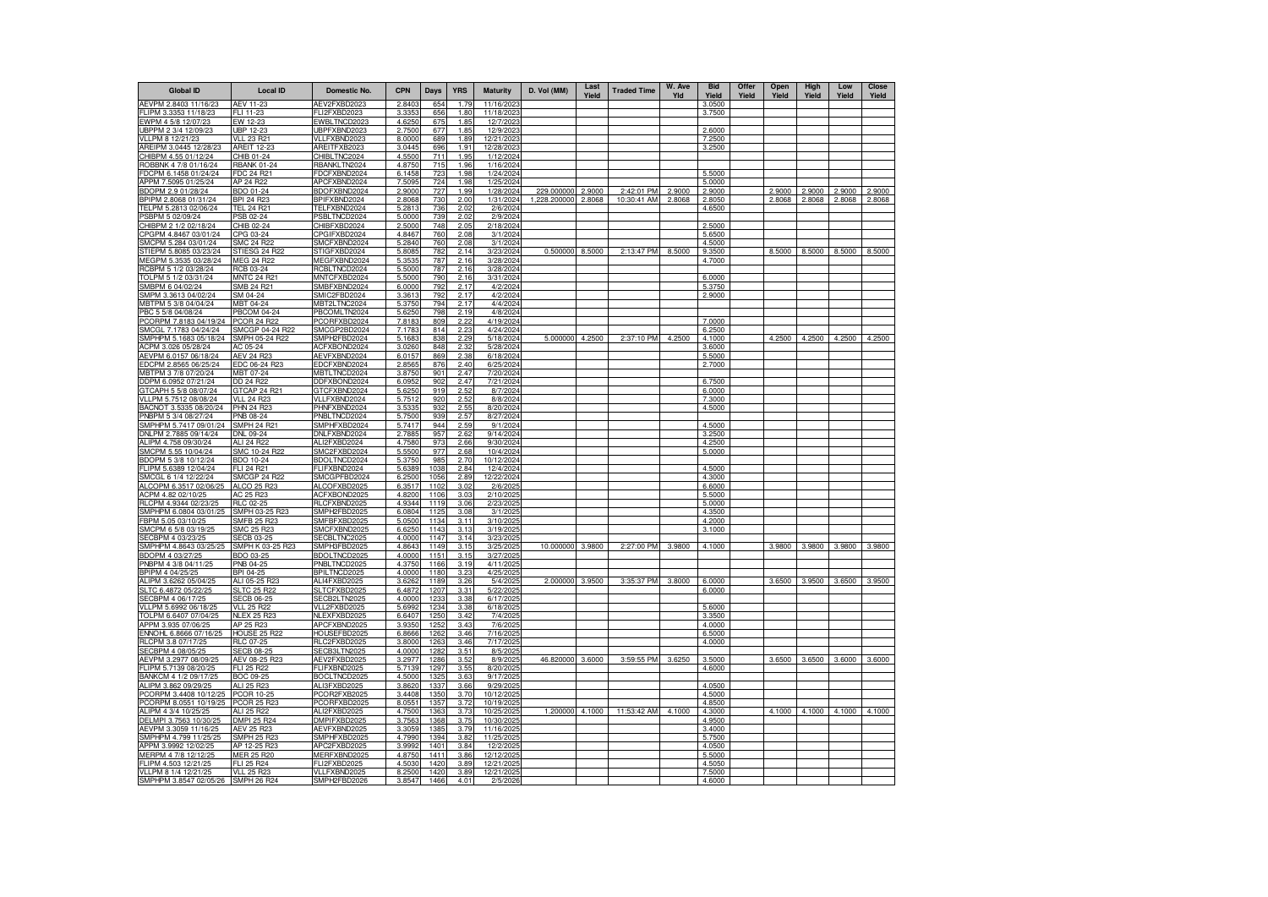| <b>Global ID</b>                                | <b>Local ID</b>                       | Domestic No.                 | <b>CPN</b>       | Days         | <b>YRS</b>   | <b>Maturity</b>         | D. Vol (MM)         | Last<br>Yield | <b>Traded Time</b> | W. Ave<br>Yld | <b>Bid</b><br>Yield | Offer<br>Yield | Open<br>Yield | High<br>Yield | Low<br>Yield | <b>Close</b><br>Yield |
|-------------------------------------------------|---------------------------------------|------------------------------|------------------|--------------|--------------|-------------------------|---------------------|---------------|--------------------|---------------|---------------------|----------------|---------------|---------------|--------------|-----------------------|
| AEVPM 2.8403 11/16/23                           | <b>AEV 11-23</b>                      | AEV2FXBD2023                 | 2.8403           | 654          | 1.79         | 11/16/2023              |                     |               |                    |               | 3.0500              |                |               |               |              |                       |
| LIPM 3.3353 11/18/23                            | FLI 11-23                             | FLI2FXBD2023                 | 3.335            | 656          | 1.80         | 11/18/202               |                     |               |                    |               | 3.7500              |                |               |               |              |                       |
| EWPM 4 5/8 12/07/23                             | EW 12-23<br>IRP 12-23                 | EWBLTNCD2023<br>UBPFXBND2023 | 4.6250           | 675<br>677   | 1.85<br>1.85 | 12/7/2023<br>12/9/2023  |                     |               |                    |               |                     |                |               |               |              |                       |
| JBPPM 2 3/4 12/09/23<br>/LLPM 8 12/21/23        | <b>VLL 23 R21</b>                     | VLLFXBND2023                 | 2.7500<br>8.0000 | 689          | 1.89         | 12/21/2023              |                     |               |                    |               | 2.6000<br>7.2500    |                |               |               |              |                       |
| AREIPM 3.0445 12/28/23                          | AREIT 12-23                           | AREITFXB2023                 | 3.0445           | 696          | 1.91         | 12/28/2023              |                     |               |                    |               | 3.2500              |                |               |               |              |                       |
| CHIBPM 4.55 01/12/24                            | CHIB 01-24                            | CHIBLTNC2024                 | 4.5500           | 711          | 1.95         | 1/12/2024               |                     |               |                    |               |                     |                |               |               |              |                       |
| ROBBNK 4 7/8 01/16/24                           | <b>RBANK 01-24</b>                    | <b>RBANKLTN2024</b>          | 4.8750           | 715          | 1.96         | 1/16/2024               |                     |               |                    |               |                     |                |               |               |              |                       |
| DCPM 6.1458 01/24/24                            | FDC 24 R21                            | FDCFXBND2024                 | 6.1458           | 723          | 1.98         | 1/24/2024               |                     |               |                    |               | 5.5000              |                |               |               |              |                       |
| PPM 7.5095 01/25/24                             | AP 24 R22                             | APCFXBND2024                 | 7.5095           | 724          | 1.98         | 1/25/2024               |                     |               |                    |               | 5.0000              |                |               |               |              |                       |
| BDOPM 2.9 01/28/24                              | BDO 01-24                             | BDOFXBND2024                 | 2.9000           | 727          | 1.99         | 1/28/2024               | 229.000000          | 2.9000        | 2:42:01 PM         | 2.9000        | 2.9000              |                | 2.9000        | 2.9000        | 2.9000       | 2.9000                |
| BPIPM 2.8068 01/31/24                           | <b>BPI 24 R23</b>                     | BPIFXBND2024<br>TELFXBND2024 | 2.806            | 730          | 2.00<br>2.02 | 1/31/2024               | 1,228.200000 2.8068 |               | 10:30:41 AM        | 2.8068        | 2.8050              |                | 2.8068        | 2.8068        | 2.8068       | 2.8068                |
| TELPM 5.2813 02/06/24<br>SBPM 5 02/09/24        | <u>TEL 24 R21</u><br><b>PSB 02-24</b> | PSBLTNCD2024                 | 5.2813<br>5.0000 | 736<br>739   | 2.02         | 2/6/2024<br>2/9/2024    |                     |               |                    |               | 4.6500              |                |               |               |              |                       |
| HIBPM 2 1/2 02/18/24                            | CHIB 02-24                            | CHIBFXBD2024                 | 2.5000           | 748          | 2.05         | 2/18/2024               |                     |               |                    |               | 2.5000              |                |               |               |              |                       |
| CPGPM 4.8467 03/01/24                           | CPG 03-24                             | CPGIFXBD2024                 | 4.8467           | 760          | 2.08         | 3/1/2024                |                     |               |                    |               | 5.6500              |                |               |               |              |                       |
| MCPM 5.284 03/01/24                             | SMC 24 R22                            | SMCFXBND2024                 | 5.2840           | 760          | 2.08         | 3/1/2024                |                     |               |                    |               | 4.5000              |                |               |               |              |                       |
| STIEPM 5.8085 03/23/24                          | <b>STIFSG 24 R22</b>                  | STIGFXBD2024                 | 5.808            | 78           | 2.14         | 3/23/2024               | 0.500000 8.5000     |               | 2:13:47 PM         | 8.5000        | 9.3500              |                | 8.5000        | 8.5000        | 8.5000       | 8.5000                |
| MEGPM 5.3535 03/28/24                           | MEG 24 R22                            | MEGFXBND2024                 | 5.3535           | 787          | 2.16         | 3/28/2024               |                     |               |                    |               | 4.7000              |                |               |               |              |                       |
| RCBPM 5 1/2 03/28/24                            | RCB 03-24                             | RCBLTNCD2024                 | 5.5000           | 787          | 2.16<br>2.16 | 3/28/2024               |                     |               |                    |               |                     |                |               |               |              |                       |
| TOLPM 5 1/2 03/31/24<br>SMBPM 6 04/02/24        | <b>MNTC 24 R2</b><br>SMB 24 R21       | MNTCFXBD2024<br>SMBFXBND2024 | 5.5000<br>6.0000 | 790<br>792   | 2.17         | 3/31/2024<br>4/2/2024   |                     |               |                    |               | 6.0000<br>5.3750    |                |               |               |              |                       |
| SMPM 3.3613 04/02/24                            | SM 04-24                              | SMIC2FBD2024                 | 3.3613           | 792          | 217          | 4/2/2024                |                     |               |                    |               | 2.9000              |                |               |               |              |                       |
| IBTPM 5 3/8 04/04/24                            | <b>MBT 04-24</b>                      | MBT2LTNC2024                 | 5.3750           | 794          | 2.17         | 4/4/2024                |                     |               |                    |               |                     |                |               |               |              |                       |
| PBC 5 5/8 04/08/24                              | PBCOM 04-24                           | PBCOMLTN2024                 | 5.6250           | 798          | 2.19         | 4/8/2024                |                     |               |                    |               |                     |                |               |               |              |                       |
| PCORPM 7.8183 04/19/24                          | <b>PCOR 24 R22</b>                    | PCORFXBD2024                 | 7.8183           | 809          | 2.22         | 4/19/2024               |                     |               |                    |               | 7.0000              |                |               |               |              |                       |
| SMCGL 7.1783 04/24/24                           | SMCGP 04-24 R22                       | SMCGP2BD2024                 | 7.1783           | 814          | 2.23         | 4/24/2024               |                     |               |                    |               | 6.2500              |                |               |               |              |                       |
| SMPHPM 5.1683 05/18/24                          | SMPH 05-24 R22                        | SMPH2FBD2024                 | 5.168            | 838          | 2.29         | 5/18/2024               | 5.000000            | 4.2500        | 2:37:10 PM         | 4.2500        | 4.1000              |                | 4.2500        | 4.2500        | 4.2500       | 4.2500                |
| ACPM 3.026 05/28/24                             | AC 05-24                              | ACFXBOND2024                 | 3.0260           | 848          | 2.32         | 5/28/2024               |                     |               |                    |               | 3.6000              |                |               |               |              |                       |
| AEVPM 6.0157 06/18/24<br>EDCPM 2.8565 06/25/24  | <b>AEV 24 R23</b><br>EDC 06-24 R23    | AEVFXBND2024<br>EDCFXBND2024 | 6.0157<br>2.856  | 869<br>876   | 2.38<br>2.40 | 6/18/2024<br>6/25/2024  |                     |               |                    |               | 5.5000<br>2.7000    |                |               |               |              |                       |
| MBTPM 3 7/8 07/20/24                            | MBT 07-24                             | MBTLTNCD2024                 | 3.8750           | 901          | 2.47         | 7/20/2024               |                     |               |                    |               |                     |                |               |               |              |                       |
| DDPM 6.0952 07/21/24                            | OD 24 R22                             | DDFXBOND2024                 | 6.0952           | 902          | 2.47         | 7/21/2024               |                     |               |                    |               | 6.7500              |                |               |               |              |                       |
| 3TCAPH 5 5/8 08/07/24                           | GTCAP 24 R2                           | GTCFXBND2024                 | 5.625            | 919          | 2.52         | 8/7/2024                |                     |               |                    |               | 6.0000              |                |               |               |              |                       |
| VLLPM 5.7512 08/08/24                           | <b>VLL 24 R23</b>                     | VLLFXBND2024                 | 5.7512           | 920          | 2.52         | 8/8/2024                |                     |               |                    |               | 7.3000              |                |               |               |              |                       |
| BACNOT 3.5335 08/20/24                          | <b>PHN 24 R23</b>                     | PHNFXBND2024                 | 3.533            | 932          | 2.55         | 8/20/2024               |                     |               |                    |               | 4.5000              |                |               |               |              |                       |
| PNBPM 5 3/4 08/27/24                            | PNB 08-24                             | PNBLTNCD2024                 | 5.7500           | 939          | 2.57         | 8/27/202                |                     |               |                    |               |                     |                |               |               |              |                       |
| SMPHPM 5.7417 09/01/24<br>DNLPM 2.7885 09/14/24 | SMPH 24 R21<br><b>DNL 09-24</b>       | SMPHFXBD2024<br>DNLFXBND2024 | 5.7417<br>2.7885 | 944<br>957   | 2.59<br>2.62 | 9/1/2024<br>9/14/2024   |                     |               |                    |               | 4.5000<br>3.2500    |                |               |               |              |                       |
| ALIPM 4.758 09/30/24                            | ALI 24 R22                            | ALI2FXBD2024                 | 4.7580           | 97           | 2.66         | 9/30/202                |                     |               |                    |               | 4.2500              |                |               |               |              |                       |
| SMCPM 5.55 10/04/24                             | SMC 10-24 R22                         | SMC2FXBD2024                 | 5.5500           | 977          | 2.68         | 10/4/2024               |                     |               |                    |               | 5.0000              |                |               |               |              |                       |
| BDOPM 5 3/8 10/12/24                            | BDO 10-24                             | BDOLTNCD2024                 | 5.3750           | 985          | 2.70         | 10/12/2024              |                     |               |                    |               |                     |                |               |               |              |                       |
| -LIPM 5.6389 12/04/24                           | FLI 24 R21                            | FLIFXBND2024                 | 5.6389           | 1038         | 2.84         | 12/4/2024               |                     |               |                    |               | 4.5000              |                |               |               |              |                       |
| SMCGL 6 1/4 12/22/24                            | SMCGP 24 R22                          | SMCGPFBD2024                 | 6.2500           | 1056         | 2.89         | 12/22/2024              |                     |               |                    |               | 4.3000              |                |               |               |              |                       |
| ALCOPM 6.3517 02/06/25                          | ALCO 25 R23                           | ALCOFXBD2025                 | 6.3517           | 1102         | 3.02         | 2/6/2025                |                     |               |                    |               | 6.6000              |                |               |               |              |                       |
| ACPM 4.82 02/10/25                              | AC 25 R23                             | ACFXBOND2025                 | 4.8200           | 1106         | 3.03         | 2/10/2025               |                     |               |                    |               | 5.5000              |                |               |               |              |                       |
| RLCPM 4.9344 02/23/25                           | RLC 02-25                             | RLCFXBND2025                 | 4.9344           | 1119         | 3.06         | 2/23/2025               |                     |               |                    |               | 5.0000              |                |               |               |              |                       |
| SMPHPM 6.0804 03/01/25<br>BPM 5.05 03/10/25     | SMPH 03-25 R23<br>SMFB 25 R23         | SMPH2FBD2025<br>SMFBFXBD2025 | 6.0804<br>5.0500 | 1125<br>1134 | 3.08<br>3.11 | 3/1/2025<br>3/10/2025   |                     |               |                    |               | 4.3500<br>4.2000    |                |               |               |              |                       |
| SMCPM 6 5/8 03/19/25                            | SMC 25 R23                            | SMCFXBND2025                 | 6.625            | 1143         | 3.13         | 3/19/2025               |                     |               |                    |               | 3.1000              |                |               |               |              |                       |
| SECBPM 4 03/23/25                               | SECB 03-25                            | SECBLTNC2025                 | 4.0000           | 1147         | 3.14         | 3/23/2025               |                     |               |                    |               |                     |                |               |               |              |                       |
| SMPHPM 4.8643 03/25/25                          | SMPH K 03-25 R23                      | SMPH3FBD2025                 | 4.864            | 1149         | 3.15         | 3/25/202                | 10.000000           | 3.9800        | 2:27:00 PM         | 3.9800        | 4.1000              |                | 3.9800        | 3.9800        | 3.9800       | 3.9800                |
| BDOPM 4 03/27/25                                | BDO 03-25                             | BDOLTNCD2025                 | 4.0000           | 115'         | 3.15         | 3/27/202                |                     |               |                    |               |                     |                |               |               |              |                       |
| PNBPM 4 3/8 04/11/25                            | PNB 04-25                             | PNBLTNCD2025                 | 4.3750           | 1166         | 3.19         | 4/11/2025               |                     |               |                    |               |                     |                |               |               |              |                       |
| BPIPM 4 04/25/25                                | BPI 04-25                             | BPILTNCD2025                 | 4.000            | 1180         | 3.23         | 4/25/2025               |                     |               |                    |               |                     |                |               |               |              |                       |
| ALIPM 3.6262 05/04/25                           | ALI 05-25 R2                          | ALI4FXBD2025                 | 3.626            | 118          | 3.26         | 5/4/202                 | 2.000000            | 3.9500        | 3:35:37 PM         | 3.8000        | 6.0000              |                | 3.6500        | 3.9500        | 3.6500       | 3.9500                |
| SLTC 6.4872 05/22/25<br>SECBPM 4 06/17/25       | SLTC 25 R22<br><b>SECB 06-25</b>      | SLTCFXBD2025<br>SECB2LTN2025 | 6.4872<br>4.0000 | 1207<br>1233 | 3.31<br>3.38 | 5/22/2025<br>6/17/202   |                     |               |                    |               | 6.0000              |                |               |               |              |                       |
| VLLPM 5.6992 06/18/2                            | <b>VLL 25 R22</b>                     | VLL2FXBD2025                 | 5.699            | 1234         | 3.38         | 6/18/202                |                     |               |                    |               | 5.6000              |                |               |               |              |                       |
| TOLPM 6.6407 07/04/25                           | <b>NLEX 25 R23</b>                    | NLEXFXBD2025                 | 6.6407           | 1250         | 3.42         | 7/4/2025                |                     |               |                    |               | 3.3500              |                |               |               |              |                       |
| APPM 3.935 07/06/25                             | AP 25 R23                             | APCFXBND2025                 | 3.9350           | 1252         | 3.43         | 7/6/2025                |                     |               |                    |               | 4.0000              |                |               |               |              |                       |
| ENNOHL 6.8666 07/16/25                          | <b>HOUSE 25 R22</b>                   | HOUSEFBD2025                 | 6.866            | 1262         | 3.46         | 7/16/2025               |                     |               |                    |               | 6.5000              |                |               |               |              |                       |
| RLCPM 3.8 07/17/25                              | RLC 07-25                             | RLC2FXBD2025                 | 3.8000           | 1263         | 3.46         | 7/17/2025               |                     |               |                    |               | 4.0000              |                |               |               |              |                       |
| SECBPM 4 08/05/25                               | SECB 08-25                            | SECB3LTN2025                 | 4.0000           | 1282         | 3.51         | 8/5/2025                |                     |               |                    |               |                     |                |               |               |              |                       |
| AEVPM 3.2977 08/09/25                           | AEV 08-25 R23                         | AEV2FXBD2025                 | 3.2977           | 1286         | 3.52         | 8/9/202                 | 46.820000           | 3.6000        | 3:59:55 PM         | 3.6250        | 3.5000              |                | 3.6500        | 3.6500        | 3.6000       | 3.6000                |
| FLIPM 5.7139 08/20/25<br>BANKCM 4 1/2 09/17/25  | FLI 25 R22<br><b>BOC 09-25</b>        | FLIFXBND2025<br>BOCLTNCD2025 | 5.7139           | 1297<br>1325 | 3.55<br>3.63 | 8/20/2025<br>9/17/2025  |                     |               |                    |               | 4.6000              |                |               |               |              |                       |
| ALIPM 3.862 09/29/25                            | ALI 25 R23                            | ALI3FXBD2025                 | 4.5000<br>3.8620 | 1337         | 3.66         | 9/29/2025               |                     |               |                    |               | 4.0500              |                |               |               |              |                       |
| PCORPM 3.4408 10/12/25                          | PCOR 10-25                            | PCOR2FXB2025                 | 3.4408           | 135          | 3.70         | 10/12/2025              |                     |               |                    |               | 4.5000              |                |               |               |              |                       |
| PCORPM 8.0551 10/19/25                          | PCOR 25 R23                           | PCORFXBD2025                 | 8.0551           | 1357         | 3.72         | 10/19/2025              |                     |               |                    |               | 4.8500              |                |               |               |              |                       |
| ALIPM 4 3/4 10/25/25                            | ALI 25 R22                            | ALI2FXBD2025                 | 4.7500           | 136          | 3.73         | 10/25/2025              | 1.200000            | 4.1000        | 11:53:42 AM        | 4.1000        | 4.3000              |                | 4.1000        | 4.1000        | 4.1000       | 4.1000                |
| DELMPI 3.7563 10/30/25                          | MPI 25 R24                            | DMPIFXBD2025                 | 3.756            | 136          | 3.75         | 10/30/202               |                     |               |                    |               | 4.9500              |                |               |               |              |                       |
| AEVPM 3.3059 11/16/25                           | AEV 25 R23                            | AEVFXBND2025                 | 3.3059           | 1385         | 3.79         | 11/16/2025              |                     |               |                    |               | 3.4000              |                |               |               |              |                       |
| SMPHPM 4.799 11/25/25                           | <b>SMPH 25 R23</b>                    | SMPHFXBD2025                 | 4.7990           | 1394         | 3.82         | 11/25/2025              |                     |               |                    |               | 5.7500              |                |               |               |              |                       |
| APPM 3.9992 12/02/25                            | AP 12-25 R23                          | APC2FXBD2025                 | 3.999            | 140          | 3.84         | 12/2/2025               |                     |               |                    |               | 4.0500              |                |               |               |              |                       |
| MERPM 4 7/8 12/12/25<br>LIPM 4.503 12/21/25     | MER 25 R20<br>FLI 25 R24              | MERFXBND2025<br>LI2FXBD2025  | 4.8750<br>4.5030 | 1411<br>1420 | 3.86<br>3.89 | 12/12/2025<br>12/21/202 |                     |               |                    |               | 5.5000<br>4.5050    |                |               |               |              |                       |
| VLLPM 8 1/4 12/21/25                            | <b>VLL 25 R23</b>                     | VLLFXBND2025                 | 8.2500           | 142          | 3.89         | 12/21/202               |                     |               |                    |               | 7.5000              |                |               |               |              |                       |
| SMPHPM 3.8547 02/05/26 SMPH 26 R24              |                                       | SMPH2FBD2026                 | 3.8547           | 1466         | 4.01         | 2/5/2026                |                     |               |                    |               | 4.6000              |                |               |               |              |                       |